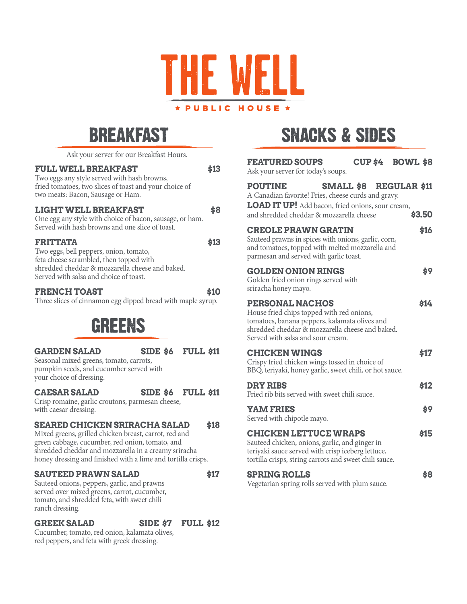

## **BREAKFAST**

| Ask your server for our Breakfast Hours. |  |  |  |  |
|------------------------------------------|--|--|--|--|
|------------------------------------------|--|--|--|--|

### **FULL WELL BREAKFAST \$13**

Two eggs any style served with hash browns, fried tomatoes, two slices of toast and your choice of two meats: Bacon, Sausage or Ham.

### **LIGHT WELL BREAKFAST \$8**

One egg any style with choice of bacon, sausage, or ham. Served with hash browns and one slice of toast.

## **FRITTATA \$13**

Two eggs, bell peppers, onion, tomato, feta cheese scrambled, then topped with shredded cheddar & mozzarella cheese and baked. Served with salsa and choice of toast.

## **FRENCH TOAST \$10**

Three slices of cinnamon egg dipped bread with maple syrup.

## GREENS

**GARDEN SALAD SIDE \$6 FULL \$11**

Seasonal mixed greens, tomato, carrots, pumpkin seeds, and cucumber served with your choice of dressing.

## **CAESAR SALAD SIDE \$6 FULL \$11**

Crisp romaine, garlic croutons, parmesan cheese, with caesar dressing.

## **SEARED CHICKEN SRIRACHA SALAD \$18**

Mixed greens, grilled chicken breast, carrot, red and green cabbage, cucumber, red onion, tomato, and shredded cheddar and mozzarella in a creamy sriracha honey dressing and finished with a lime and tortilla crisps.

## **SAUTEED PRAWN SALAD \$17**

Sauteed onions, peppers, garlic, and prawns served over mixed greens, carrot, cucumber, tomato, and shredded feta, with sweet chili ranch dressing.

## **GREEK SALAD SIDE \$7 FULL \$12**

Cucumber, tomato, red onion, kalamata olives, red peppers, and feta with greek dressing.

# **SNACKS & SIDES**

| <b>FEATURED SOUPS</b><br>Ask your server for today's soups.                                                                                                                                                  |  | <b>CUP \$4 BOWL \$8</b>          |
|--------------------------------------------------------------------------------------------------------------------------------------------------------------------------------------------------------------|--|----------------------------------|
| <b>POUTINE</b><br>A Canadian favorite! Fries, cheese curds and gravy.<br>LOAD IT UP! Add bacon, fried onions, sour cream,<br>and shredded cheddar & mozzarella cheese                                        |  | SMALL \$8 REGULAR \$11<br>\$3.50 |
| <b>CREOLE PRAWN GRATIN</b><br>Sauteed prawns in spices with onions, garlic, corn,<br>and tomatoes, topped with melted mozzarella and<br>parmesan and served with garlic toast.                               |  | \$16                             |
| <b>GOLDEN ONION RINGS</b><br>Golden fried onion rings served with<br>sriracha honey mayo.                                                                                                                    |  | \$9                              |
| <b>PERSONAL NACHOS</b><br>House fried chips topped with red onions,<br>tomatoes, banana peppers, kalamata olives and<br>shredded cheddar & mozzarella cheese and baked.<br>Served with salsa and sour cream. |  | \$14                             |
| <b>CHICKEN WINGS</b><br>Crispy fried chicken wings tossed in choice of<br>BBQ, teriyaki, honey garlic, sweet chili, or hot sauce.                                                                            |  | \$17                             |
| <b>DRY RIBS</b><br>Fried rib bits served with sweet chili sauce.                                                                                                                                             |  | \$12                             |
| <b>YAM FRIES</b><br>Served with chipotle mayo.                                                                                                                                                               |  | \$9                              |
| <b>CHICKEN LETTUCE WRAPS</b><br>Sauteed chicken, onions, garlic, and ginger in<br>teriyaki sauce served with crisp iceberg lettuce,<br>tortilla crisps, string carrots and sweet chili sauce.                |  | \$15                             |
| <b>SPRING ROLLS</b>                                                                                                                                                                                          |  | \$8                              |

Vegetarian spring rolls served with plum sauce.